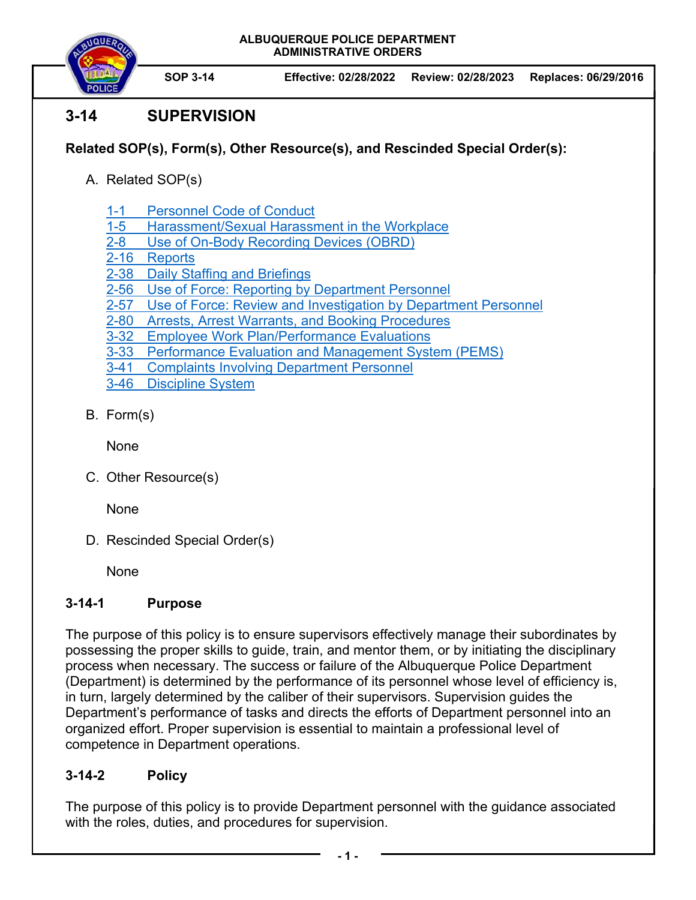**ALBUQUERQUE POLICE DEPARTMENT ADMINISTRATIVE ORDERS** 



# **3-14 SUPERVISION**

### **Related SOP(s), Form(s), Other Resource(s), and Rescinded Special Order(s):**

- A. Related SOP(s)
	- 1-1 Personnel Code of Conduct
	- 1-5 Harassment/Sexual Harassment in the Workplace
	- 2-8 Use of On-Body Recording Devices (OBRD)
	- 2-16 Reports
	- 2-38 Daily Staffing and Briefings
	- 2-56 Use of Force: Reporting by Department Personnel
	- 2-57 Use of Force: Review and Investigation by Department Personnel
	- 2-80 Arrests, Arrest Warrants, and Booking Procedures
	- 3-32 Employee Work Plan/Performance Evaluations
	- 3-33 Performance Evaluation and Management System (PEMS)
	- 3-41 Complaints Involving Department Personnel
	- 3-46 Discipline System
- B. Form(s)

None

C. Other Resource(s)

None

D. Rescinded Special Order(s)

None

## **3-14-1 Purpose**

The purpose of this policy is to ensure supervisors effectively manage their subordinates by possessing the proper skills to guide, train, and mentor them, or by initiating the disciplinary process when necessary. The success or failure of the Albuquerque Police Department (Department) is determined by the performance of its personnel whose level of efficiency is, in turn, largely determined by the caliber of their supervisors. Supervision guides the Department's performance of tasks and directs the efforts of Department personnel into an organized effort. Proper supervision is essential to maintain a professional level of competence in Department operations.

## **3-14-2 Policy**

The purpose of this policy is to provide Department personnel with the guidance associated with the roles, duties, and procedures for supervision.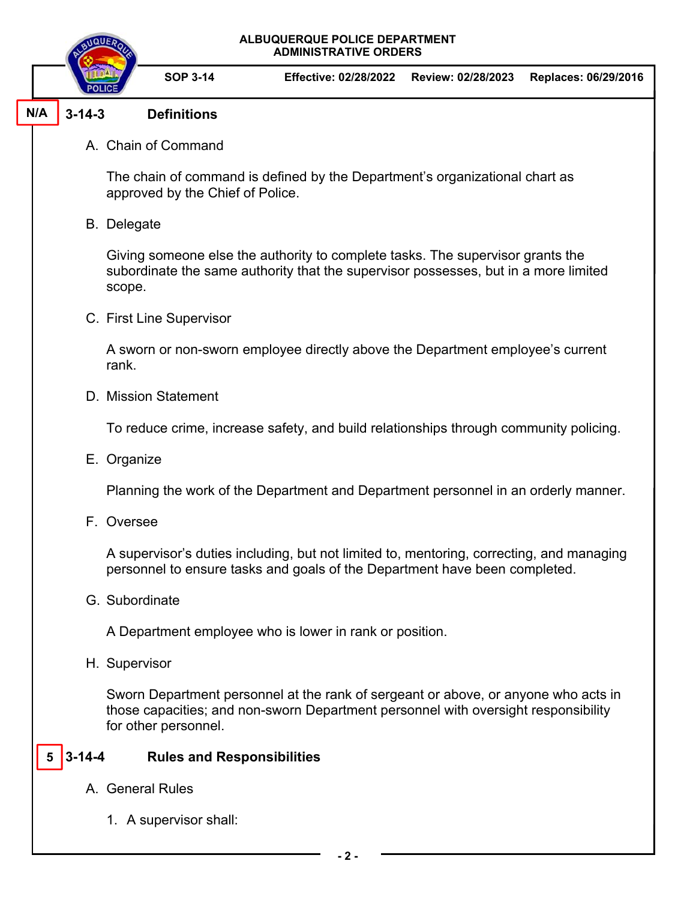

#### **3-14-3 Definitions N/A**

A. Chain of Command

The chain of command is defined by the Department's organizational chart as approved by the Chief of Police.

B. Delegate

Giving someone else the authority to complete tasks. The supervisor grants the subordinate the same authority that the supervisor possesses, but in a more limited scope.

C. First Line Supervisor

A sworn or non-sworn employee directly above the Department employee's current rank.

D. Mission Statement

To reduce crime, increase safety, and build relationships through community policing.

E. Organize

Planning the work of the Department and Department personnel in an orderly manner.

F. Oversee

A supervisor's duties including, but not limited to, mentoring, correcting, and managing personnel to ensure tasks and goals of the Department have been completed.

G. Subordinate

A Department employee who is lower in rank or position.

H. Supervisor

Sworn Department personnel at the rank of sergeant or above, or anyone who acts in those capacities; and non-sworn Department personnel with oversight responsibility for other personnel.

#### **3-14-4 Rules and Responsibilities 5**

- A. General Rules
	- 1. A supervisor shall: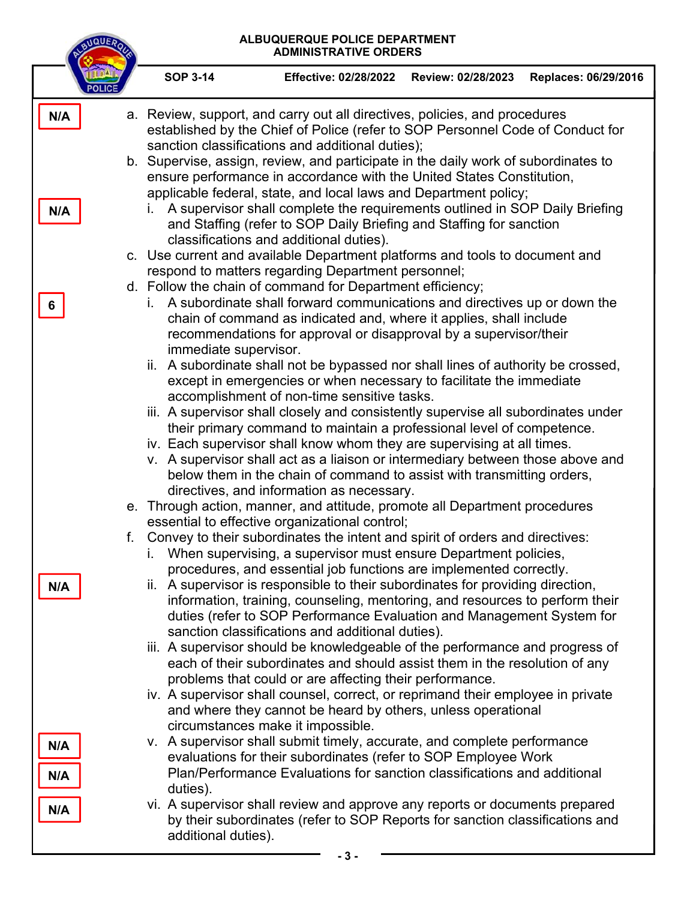| ALBUQUERQUE POLICE DEPARTMENT<br>\QUE,<br><b>ADMINISTRATIVE ORDERS</b> |                                                                                                                                                                                                                                                                                                                                                                                                                                                                                                                                                                                                                                                                                                                                                                                                                                                                                                                                                                                                                   |                                                                                                                                                                                                                                                                                                                                                                                                                                                                                                                                                                                                                                                                                                                                                                                                                                                                                                  |                    |                      |  |  |  |
|------------------------------------------------------------------------|-------------------------------------------------------------------------------------------------------------------------------------------------------------------------------------------------------------------------------------------------------------------------------------------------------------------------------------------------------------------------------------------------------------------------------------------------------------------------------------------------------------------------------------------------------------------------------------------------------------------------------------------------------------------------------------------------------------------------------------------------------------------------------------------------------------------------------------------------------------------------------------------------------------------------------------------------------------------------------------------------------------------|--------------------------------------------------------------------------------------------------------------------------------------------------------------------------------------------------------------------------------------------------------------------------------------------------------------------------------------------------------------------------------------------------------------------------------------------------------------------------------------------------------------------------------------------------------------------------------------------------------------------------------------------------------------------------------------------------------------------------------------------------------------------------------------------------------------------------------------------------------------------------------------------------|--------------------|----------------------|--|--|--|
|                                                                        | <b>SOP 3-14</b>                                                                                                                                                                                                                                                                                                                                                                                                                                                                                                                                                                                                                                                                                                                                                                                                                                                                                                                                                                                                   | <b>Effective: 02/28/2022</b>                                                                                                                                                                                                                                                                                                                                                                                                                                                                                                                                                                                                                                                                                                                                                                                                                                                                     | Review: 02/28/2023 | Replaces: 06/29/2016 |  |  |  |
| N/A<br>N/A                                                             | a. Review, support, and carry out all directives, policies, and procedures<br>established by the Chief of Police (refer to SOP Personnel Code of Conduct for<br>sanction classifications and additional duties);<br>b. Supervise, assign, review, and participate in the daily work of subordinates to<br>ensure performance in accordance with the United States Constitution,<br>applicable federal, state, and local laws and Department policy;<br>i. A supervisor shall complete the requirements outlined in SOP Daily Briefing<br>and Staffing (refer to SOP Daily Briefing and Staffing for sanction<br>classifications and additional duties).<br>c. Use current and available Department platforms and tools to document and<br>respond to matters regarding Department personnel;<br>d. Follow the chain of command for Department efficiency;<br>A subordinate shall forward communications and directives up or down the<br>L.<br>chain of command as indicated and, where it applies, shall include |                                                                                                                                                                                                                                                                                                                                                                                                                                                                                                                                                                                                                                                                                                                                                                                                                                                                                                  |                    |                      |  |  |  |
|                                                                        | recommendations for approval or disapproval by a supervisor/their<br>immediate supervisor.<br>ii. A subordinate shall not be bypassed nor shall lines of authority be crossed,<br>except in emergencies or when necessary to facilitate the immediate<br>accomplishment of non-time sensitive tasks.<br>iii. A supervisor shall closely and consistently supervise all subordinates under<br>their primary command to maintain a professional level of competence.<br>iv. Each supervisor shall know whom they are supervising at all times.<br>v. A supervisor shall act as a liaison or intermediary between those above and<br>below them in the chain of command to assist with transmitting orders,<br>directives, and information as necessary.<br>e. Through action, manner, and attitude, promote all Department procedures<br>essential to effective organizational control;                                                                                                                             |                                                                                                                                                                                                                                                                                                                                                                                                                                                                                                                                                                                                                                                                                                                                                                                                                                                                                                  |                    |                      |  |  |  |
| f.<br>N/A                                                              | i.                                                                                                                                                                                                                                                                                                                                                                                                                                                                                                                                                                                                                                                                                                                                                                                                                                                                                                                                                                                                                | Convey to their subordinates the intent and spirit of orders and directives:<br>When supervising, a supervisor must ensure Department policies,<br>procedures, and essential job functions are implemented correctly.<br>ii. A supervisor is responsible to their subordinates for providing direction,<br>information, training, counseling, mentoring, and resources to perform their<br>duties (refer to SOP Performance Evaluation and Management System for<br>sanction classifications and additional duties).<br>iii. A supervisor should be knowledgeable of the performance and progress of<br>each of their subordinates and should assist them in the resolution of any<br>problems that could or are affecting their performance.<br>iv. A supervisor shall counsel, correct, or reprimand their employee in private<br>and where they cannot be heard by others, unless operational |                    |                      |  |  |  |
| N/A<br>N/A<br>N/A                                                      | circumstances make it impossible.<br>v. A supervisor shall submit timely, accurate, and complete performance<br>evaluations for their subordinates (refer to SOP Employee Work<br>Plan/Performance Evaluations for sanction classifications and additional<br>duties).<br>vi. A supervisor shall review and approve any reports or documents prepared<br>by their subordinates (refer to SOP Reports for sanction classifications and<br>additional duties).                                                                                                                                                                                                                                                                                                                                                                                                                                                                                                                                                      |                                                                                                                                                                                                                                                                                                                                                                                                                                                                                                                                                                                                                                                                                                                                                                                                                                                                                                  |                    |                      |  |  |  |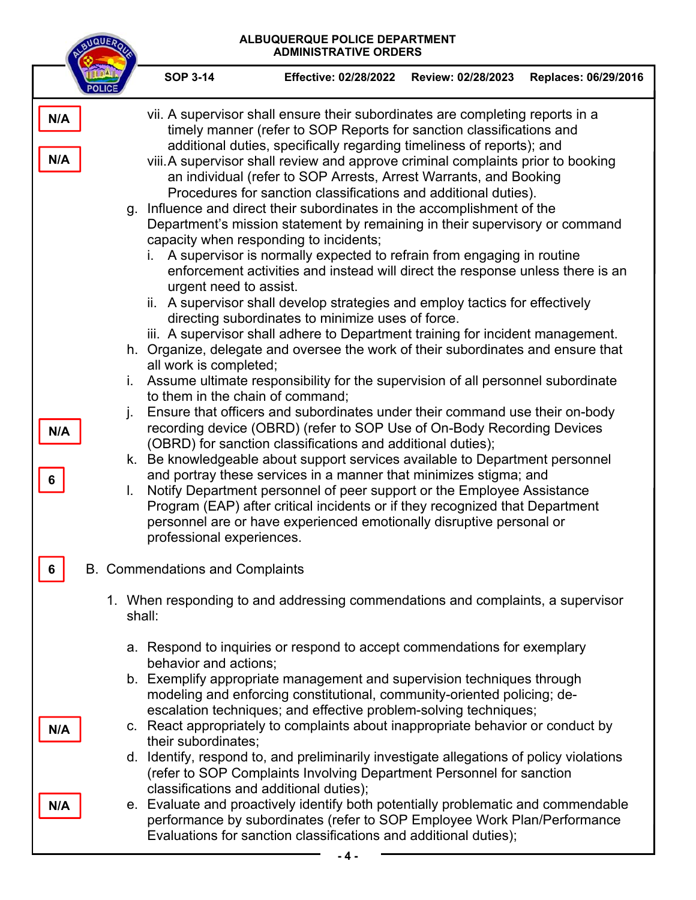| ALBUQUERQUE POLICE DEPARTMENT<br>QUE<br><b>ADMINISTRATIVE ORDERS</b> |                                                                                                                                                                                                                                                                                                                                                                                                                                                                                                                                                                                                                                                                                                                                                                                                                                                                                         |                                                                                                                                                                                                                                                                                                                                                                                                                                                                                                                                                                                                                                                                                                                                                                                                                                                                                                                                                                                                                                                                                                                                                                                                                                                                                                                                                                                                                                                                                                                                                                                                                                                                                                                                                                                                                                                                                                                                   |                                                                                 |                    |                      |  |  |
|----------------------------------------------------------------------|-----------------------------------------------------------------------------------------------------------------------------------------------------------------------------------------------------------------------------------------------------------------------------------------------------------------------------------------------------------------------------------------------------------------------------------------------------------------------------------------------------------------------------------------------------------------------------------------------------------------------------------------------------------------------------------------------------------------------------------------------------------------------------------------------------------------------------------------------------------------------------------------|-----------------------------------------------------------------------------------------------------------------------------------------------------------------------------------------------------------------------------------------------------------------------------------------------------------------------------------------------------------------------------------------------------------------------------------------------------------------------------------------------------------------------------------------------------------------------------------------------------------------------------------------------------------------------------------------------------------------------------------------------------------------------------------------------------------------------------------------------------------------------------------------------------------------------------------------------------------------------------------------------------------------------------------------------------------------------------------------------------------------------------------------------------------------------------------------------------------------------------------------------------------------------------------------------------------------------------------------------------------------------------------------------------------------------------------------------------------------------------------------------------------------------------------------------------------------------------------------------------------------------------------------------------------------------------------------------------------------------------------------------------------------------------------------------------------------------------------------------------------------------------------------------------------------------------------|---------------------------------------------------------------------------------|--------------------|----------------------|--|--|
|                                                                      |                                                                                                                                                                                                                                                                                                                                                                                                                                                                                                                                                                                                                                                                                                                                                                                                                                                                                         | <b>SOP 3-14</b>                                                                                                                                                                                                                                                                                                                                                                                                                                                                                                                                                                                                                                                                                                                                                                                                                                                                                                                                                                                                                                                                                                                                                                                                                                                                                                                                                                                                                                                                                                                                                                                                                                                                                                                                                                                                                                                                                                                   | <b>Effective: 02/28/2022</b>                                                    | Review: 02/28/2023 | Replaces: 06/29/2016 |  |  |
| N/A<br>N/A<br>N/A<br>6                                               | i.<br>j.<br>L.                                                                                                                                                                                                                                                                                                                                                                                                                                                                                                                                                                                                                                                                                                                                                                                                                                                                          | vii. A supervisor shall ensure their subordinates are completing reports in a<br>timely manner (refer to SOP Reports for sanction classifications and<br>additional duties, specifically regarding timeliness of reports); and<br>viii. A supervisor shall review and approve criminal complaints prior to booking<br>an individual (refer to SOP Arrests, Arrest Warrants, and Booking<br>Procedures for sanction classifications and additional duties).<br>g. Influence and direct their subordinates in the accomplishment of the<br>Department's mission statement by remaining in their supervisory or command<br>capacity when responding to incidents;<br>i. A supervisor is normally expected to refrain from engaging in routine<br>enforcement activities and instead will direct the response unless there is an<br>urgent need to assist.<br>ii. A supervisor shall develop strategies and employ tactics for effectively<br>directing subordinates to minimize uses of force.<br>iii. A supervisor shall adhere to Department training for incident management.<br>h. Organize, delegate and oversee the work of their subordinates and ensure that<br>all work is completed;<br>Assume ultimate responsibility for the supervision of all personnel subordinate<br>to them in the chain of command;<br>Ensure that officers and subordinates under their command use their on-body<br>recording device (OBRD) (refer to SOP Use of On-Body Recording Devices<br>(OBRD) for sanction classifications and additional duties);<br>k. Be knowledgeable about support services available to Department personnel<br>and portray these services in a manner that minimizes stigma; and<br>Notify Department personnel of peer support or the Employee Assistance<br>Program (EAP) after critical incidents or if they recognized that Department<br>personnel are or have experienced emotionally disruptive personal or |                                                                                 |                    |                      |  |  |
| <b>B.</b> Commendations and Complaints                               |                                                                                                                                                                                                                                                                                                                                                                                                                                                                                                                                                                                                                                                                                                                                                                                                                                                                                         |                                                                                                                                                                                                                                                                                                                                                                                                                                                                                                                                                                                                                                                                                                                                                                                                                                                                                                                                                                                                                                                                                                                                                                                                                                                                                                                                                                                                                                                                                                                                                                                                                                                                                                                                                                                                                                                                                                                                   |                                                                                 |                    |                      |  |  |
|                                                                      | shall:                                                                                                                                                                                                                                                                                                                                                                                                                                                                                                                                                                                                                                                                                                                                                                                                                                                                                  |                                                                                                                                                                                                                                                                                                                                                                                                                                                                                                                                                                                                                                                                                                                                                                                                                                                                                                                                                                                                                                                                                                                                                                                                                                                                                                                                                                                                                                                                                                                                                                                                                                                                                                                                                                                                                                                                                                                                   | 1. When responding to and addressing commendations and complaints, a supervisor |                    |                      |  |  |
| N/A<br>N/A                                                           | a. Respond to inquiries or respond to accept commendations for exemplary<br>behavior and actions;<br>b. Exemplify appropriate management and supervision techniques through<br>modeling and enforcing constitutional, community-oriented policing; de-<br>escalation techniques; and effective problem-solving techniques;<br>c. React appropriately to complaints about inappropriate behavior or conduct by<br>their subordinates;<br>d. Identify, respond to, and preliminarily investigate allegations of policy violations<br>(refer to SOP Complaints Involving Department Personnel for sanction<br>classifications and additional duties);<br>e. Evaluate and proactively identify both potentially problematic and commendable<br>performance by subordinates (refer to SOP Employee Work Plan/Performance<br>Evaluations for sanction classifications and additional duties); |                                                                                                                                                                                                                                                                                                                                                                                                                                                                                                                                                                                                                                                                                                                                                                                                                                                                                                                                                                                                                                                                                                                                                                                                                                                                                                                                                                                                                                                                                                                                                                                                                                                                                                                                                                                                                                                                                                                                   |                                                                                 |                    |                      |  |  |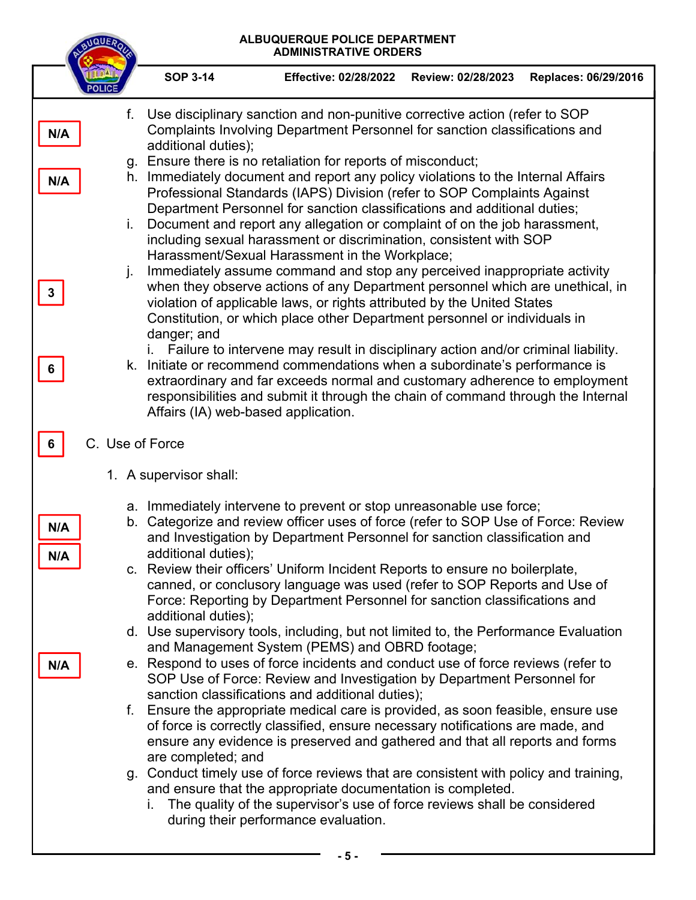| <b>NQUE</b>          | ALBUQUERQUE POLICE DEPARTMENT<br><b>ADMINISTRATIVE ORDERS</b> |                                    |                                                                                                                                                                                                                                                                                                                                                                                                                                                                                                                                                                                                                                                                                                                                                                                                                                                                                                                                                                                                                                                                                                                                                                                                                                                                                                                                                                           |                    |                      |  |
|----------------------|---------------------------------------------------------------|------------------------------------|---------------------------------------------------------------------------------------------------------------------------------------------------------------------------------------------------------------------------------------------------------------------------------------------------------------------------------------------------------------------------------------------------------------------------------------------------------------------------------------------------------------------------------------------------------------------------------------------------------------------------------------------------------------------------------------------------------------------------------------------------------------------------------------------------------------------------------------------------------------------------------------------------------------------------------------------------------------------------------------------------------------------------------------------------------------------------------------------------------------------------------------------------------------------------------------------------------------------------------------------------------------------------------------------------------------------------------------------------------------------------|--------------------|----------------------|--|
|                      |                                                               | <b>SOP 3-14</b>                    | <b>Effective: 02/28/2022</b>                                                                                                                                                                                                                                                                                                                                                                                                                                                                                                                                                                                                                                                                                                                                                                                                                                                                                                                                                                                                                                                                                                                                                                                                                                                                                                                                              | Review: 02/28/2023 | Replaces: 06/29/2016 |  |
| N/A<br>N/A<br>3<br>6 | f.<br>i.<br>j.                                                | additional duties);<br>danger; and | Use disciplinary sanction and non-punitive corrective action (refer to SOP<br>Complaints Involving Department Personnel for sanction classifications and<br>g. Ensure there is no retaliation for reports of misconduct;<br>h. Immediately document and report any policy violations to the Internal Affairs<br>Professional Standards (IAPS) Division (refer to SOP Complaints Against<br>Department Personnel for sanction classifications and additional duties;<br>Document and report any allegation or complaint of on the job harassment,<br>including sexual harassment or discrimination, consistent with SOP<br>Harassment/Sexual Harassment in the Workplace;<br>Immediately assume command and stop any perceived inappropriate activity<br>when they observe actions of any Department personnel which are unethical, in<br>violation of applicable laws, or rights attributed by the United States<br>Constitution, or which place other Department personnel or individuals in<br>Failure to intervene may result in disciplinary action and/or criminal liability.<br>k. Initiate or recommend commendations when a subordinate's performance is<br>extraordinary and far exceeds normal and customary adherence to employment<br>responsibilities and submit it through the chain of command through the Internal<br>Affairs (IA) web-based application. |                    |                      |  |
| C. Use of Force      |                                                               |                                    |                                                                                                                                                                                                                                                                                                                                                                                                                                                                                                                                                                                                                                                                                                                                                                                                                                                                                                                                                                                                                                                                                                                                                                                                                                                                                                                                                                           |                    |                      |  |
|                      |                                                               | 1. A supervisor shall:             |                                                                                                                                                                                                                                                                                                                                                                                                                                                                                                                                                                                                                                                                                                                                                                                                                                                                                                                                                                                                                                                                                                                                                                                                                                                                                                                                                                           |                    |                      |  |
| N/A<br>N/A           | b.                                                            | additional duties);                | a. Immediately intervene to prevent or stop unreasonable use force;<br>Categorize and review officer uses of force (refer to SOP Use of Force: Review<br>and Investigation by Department Personnel for sanction classification and                                                                                                                                                                                                                                                                                                                                                                                                                                                                                                                                                                                                                                                                                                                                                                                                                                                                                                                                                                                                                                                                                                                                        |                    |                      |  |
|                      |                                                               | additional duties);                | c. Review their officers' Uniform Incident Reports to ensure no boilerplate,<br>canned, or conclusory language was used (refer to SOP Reports and Use of<br>Force: Reporting by Department Personnel for sanction classifications and                                                                                                                                                                                                                                                                                                                                                                                                                                                                                                                                                                                                                                                                                                                                                                                                                                                                                                                                                                                                                                                                                                                                     |                    |                      |  |
| N/A                  |                                                               |                                    | d. Use supervisory tools, including, but not limited to, the Performance Evaluation<br>and Management System (PEMS) and OBRD footage;<br>e. Respond to uses of force incidents and conduct use of force reviews (refer to<br>SOP Use of Force: Review and Investigation by Department Personnel for<br>sanction classifications and additional duties);                                                                                                                                                                                                                                                                                                                                                                                                                                                                                                                                                                                                                                                                                                                                                                                                                                                                                                                                                                                                                   |                    |                      |  |
|                      |                                                               | are completed; and                 | f. Ensure the appropriate medical care is provided, as soon feasible, ensure use<br>of force is correctly classified, ensure necessary notifications are made, and<br>ensure any evidence is preserved and gathered and that all reports and forms                                                                                                                                                                                                                                                                                                                                                                                                                                                                                                                                                                                                                                                                                                                                                                                                                                                                                                                                                                                                                                                                                                                        |                    |                      |  |
|                      |                                                               | $\mathbf{L}$                       | g. Conduct timely use of force reviews that are consistent with policy and training,<br>and ensure that the appropriate documentation is completed.<br>The quality of the supervisor's use of force reviews shall be considered<br>during their performance evaluation.                                                                                                                                                                                                                                                                                                                                                                                                                                                                                                                                                                                                                                                                                                                                                                                                                                                                                                                                                                                                                                                                                                   |                    |                      |  |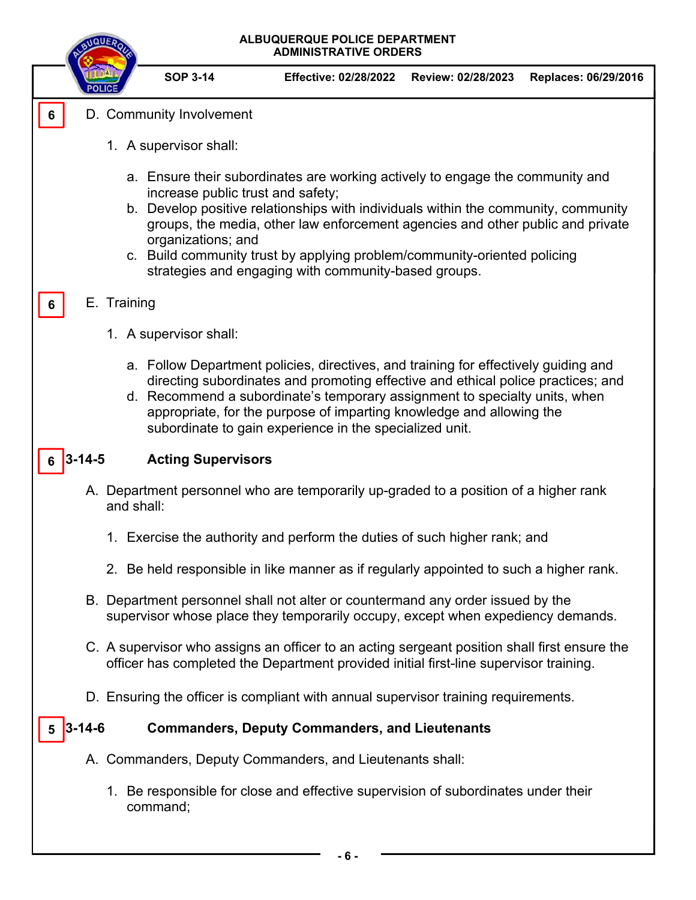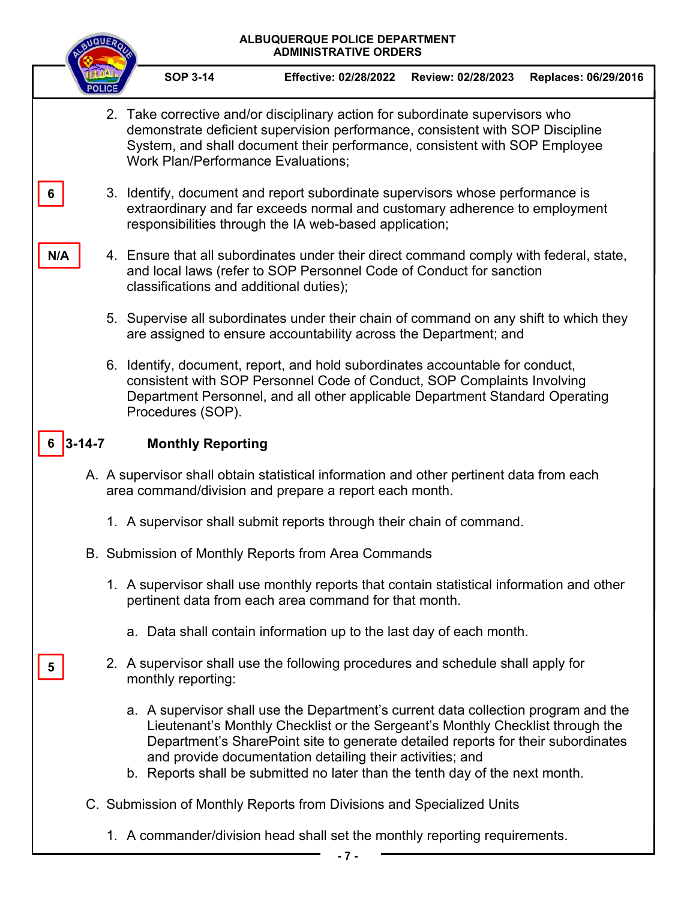